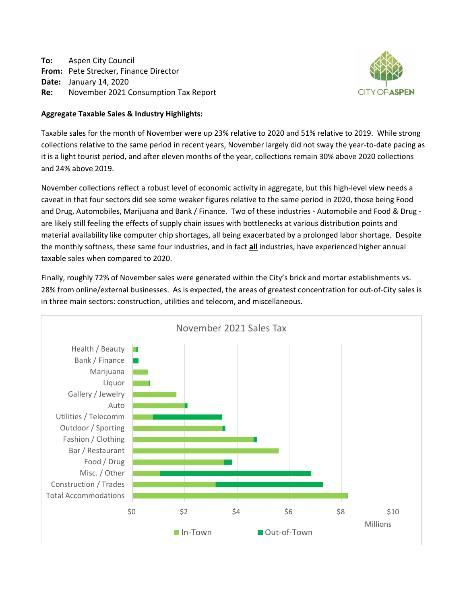**To:** Aspen City Council **From:** Pete Strecker, Finance Director **Date:** January 14, 2020 **Re:** November 2021 Consumption Tax Report



## **Aggregate Taxable Sales & Industry Highlights:**

Taxable sales for the month of November were up 23% relative to 2020 and 51% relative to 2019. While strong collections relative to the same period in recent years, November largely did not sway the year‐to‐date pacing as it is a light tourist period, and after eleven months of the year, collections remain 30% above 2020 collections and 24% above 2019.

November collections reflect a robust level of economic activity in aggregate, but this high‐level view needs a caveat in that four sectors did see some weaker figures relative to the same period in 2020, those being Food and Drug, Automobiles, Marijuana and Bank / Finance. Two of these industries - Automobile and Food & Drug are likely still feeling the effects of supply chain issues with bottlenecks at various distribution points and material availability like computer chip shortages, all being exacerbated by a prolonged labor shortage. Despite the monthly softness, these same four industries, and in fact **all** industries, have experienced higher annual taxable sales when compared to 2020.

Finally, roughly 72% of November sales were generated within the City's brick and mortar establishments vs. 28% from online/external businesses. As is expected, the areas of greatest concentration for out‐of‐City sales is in three main sectors: construction, utilities and telecom, and miscellaneous.

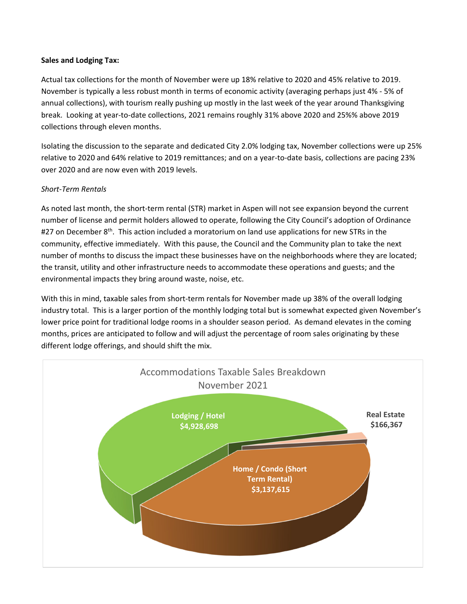## **Sales and Lodging Tax:**

Actual tax collections for the month of November were up 18% relative to 2020 and 45% relative to 2019. November is typically a less robust month in terms of economic activity (averaging perhaps just 4% ‐ 5% of annual collections), with tourism really pushing up mostly in the last week of the year around Thanksgiving break. Looking at year‐to‐date collections, 2021 remains roughly 31% above 2020 and 25%% above 2019 collections through eleven months.

Isolating the discussion to the separate and dedicated City 2.0% lodging tax, November collections were up 25% relative to 2020 and 64% relative to 2019 remittances; and on a year‐to‐date basis, collections are pacing 23% over 2020 and are now even with 2019 levels.

# *Short‐Term Rentals*

As noted last month, the short‐term rental (STR) market in Aspen will not see expansion beyond the current number of license and permit holders allowed to operate, following the City Council's adoption of Ordinance #27 on December  $8<sup>th</sup>$ . This action included a moratorium on land use applications for new STRs in the community, effective immediately. With this pause, the Council and the Community plan to take the next number of months to discuss the impact these businesses have on the neighborhoods where they are located; the transit, utility and other infrastructure needs to accommodate these operations and guests; and the environmental impacts they bring around waste, noise, etc.

With this in mind, taxable sales from short-term rentals for November made up 38% of the overall lodging industry total. This is a larger portion of the monthly lodging total but is somewhat expected given November's lower price point for traditional lodge rooms in a shoulder season period. As demand elevates in the coming months, prices are anticipated to follow and will adjust the percentage of room sales originating by these different lodge offerings, and should shift the mix.

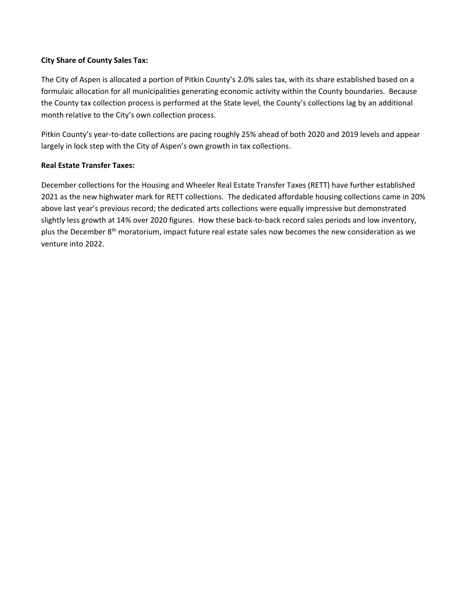## **City Share of County Sales Tax:**

The City of Aspen is allocated a portion of Pitkin County's 2.0% sales tax, with its share established based on a formulaic allocation for all municipalities generating economic activity within the County boundaries. Because the County tax collection process is performed at the State level, the County's collections lag by an additional month relative to the City's own collection process.

Pitkin County's year‐to‐date collections are pacing roughly 25% ahead of both 2020 and 2019 levels and appear largely in lock step with the City of Aspen's own growth in tax collections.

# **Real Estate Transfer Taxes:**

December collections for the Housing and Wheeler Real Estate Transfer Taxes (RETT) have further established 2021 as the new highwater mark for RETT collections. The dedicated affordable housing collections came in 20% above last year's previous record; the dedicated arts collections were equally impressive but demonstrated slightly less growth at 14% over 2020 figures. How these back‐to‐back record sales periods and low inventory, plus the December 8<sup>th</sup> moratorium, impact future real estate sales now becomes the new consideration as we venture into 2022.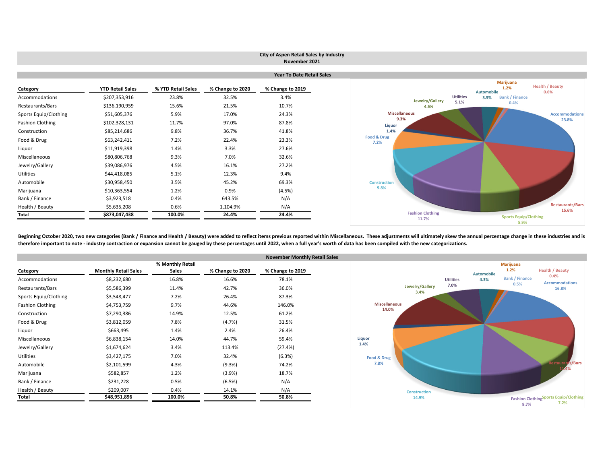|                         |                         |                    |                  | City of Aspen Retail Sales by Industry<br>November 2021 |                                  |                                                      |
|-------------------------|-------------------------|--------------------|------------------|---------------------------------------------------------|----------------------------------|------------------------------------------------------|
|                         |                         |                    |                  | <b>Year To Date Retail Sales</b>                        |                                  |                                                      |
|                         |                         |                    |                  |                                                         |                                  | Marijuana                                            |
| Category                | <b>YTD Retail Sales</b> | % YTD Retail Sales | % Change to 2020 | % Change to 2019                                        |                                  | <b>Health / Beauty</b><br>1.2%<br>Automobile<br>0.6% |
| Accommodations          | \$207,353,916           | 23.8%              | 32.5%            | 3.4%                                                    | Jewelry/Gallery                  | <b>Utilities</b><br><b>Bank / Finance</b><br>3.5%    |
| Restaurants/Bars        | \$136,190,959           | 15.6%              | 21.5%            | 10.7%                                                   | 4.5%                             | 5.1%<br>0.4%                                         |
| Sports Equip/Clothing   | \$51,605,376            | 5.9%               | 17.0%            | 24.3%                                                   | <b>Miscellaneous</b>             | <b>Accommodations</b>                                |
| <b>Fashion Clothing</b> | \$102,328,131           | 11.7%              | 97.0%            | 87.8%                                                   | 9.3%<br>Liquor                   | 23.8%                                                |
| Construction            | \$85,214,686            | 9.8%               | 36.7%            | 41.8%                                                   | 1.4%                             |                                                      |
| Food & Drug             | \$63,242,411            | 7.2%               | 22.4%            | 23.3%                                                   | Food & Drug<br>7.2%              |                                                      |
| Liquor                  | \$11,919,398            | 1.4%               | 3.3%             | 27.6%                                                   |                                  |                                                      |
| Miscellaneous           | \$80,806,768            | 9.3%               | 7.0%             | 32.6%                                                   |                                  |                                                      |
| Jewelry/Gallery         | \$39,086,976            | 4.5%               | 16.1%            | 27.2%                                                   |                                  |                                                      |
| Utilities               | \$44,418,085            | 5.1%               | 12.3%            | 9.4%                                                    |                                  |                                                      |
| Automobile              | \$30,958,450            | 3.5%               | 45.2%            | 69.3%                                                   | <b>Construction</b>              |                                                      |
| Marijuana               | \$10,363,554            | 1.2%               | 0.9%             | (4.5%)                                                  | 9.8%                             |                                                      |
| Bank / Finance          | \$3,923,518             | 0.4%               | 643.5%           | N/A                                                     |                                  |                                                      |
| Health / Beauty         | \$5,635,208             | 0.6%               | 1,104.9%         | N/A                                                     |                                  | <b>Restaurants/Bars</b><br>15.6%                     |
| Total                   | \$873,047,438           | 100.0%             | 24.4%            | 24.4%                                                   | <b>Fashion Clothing</b><br>11.7% | <b>Sports Equip/Clothing</b>                         |
|                         |                         |                    |                  |                                                         |                                  | 5.9%                                                 |

Beginning October 2020, two new categories (Bank / Finance and Health / Beauty) were added to reflect items previous reported within Miscellaneous. These adjustments will ultimately skew the annual percentage change in the therefore important to note - industry contraction or expansion cannot be gauged by these percentages until 2022, when a full year's worth of data has been compiled with the new categorizations.

|                         |                             |                  |                  | <b>November Monthly Re</b> |
|-------------------------|-----------------------------|------------------|------------------|----------------------------|
|                         |                             | % Monthly Retail |                  |                            |
| Category                | <b>Monthly Retail Sales</b> | <b>Sales</b>     | % Change to 2020 | % Change to 2019           |
| Accommodations          | \$8,232,680                 | 16.8%            | 16.6%            | 78.1%                      |
| Restaurants/Bars        | \$5,586,399                 | 11.4%            | 42.7%            | 36.0%                      |
| Sports Equip/Clothing   | \$3,548,477                 | 7.2%             | 26.4%            | 87.3%                      |
| <b>Fashion Clothing</b> | \$4,753,759                 | 9.7%             | 44.6%            | 146.0%                     |
| Construction            | \$7,290,386                 | 14.9%            | 12.5%            | 61.2%                      |
| Food & Drug             | \$3,812,059                 | 7.8%             | (4.7%)           | 31.5%                      |
| Liquor                  | \$663,495                   | 1.4%             | 2.4%             | 26.4%                      |
| Miscellaneous           | \$6,838,154                 | 14.0%            | 44.7%            | 59.4%                      |
| Jewelry/Gallery         | \$1,674,624                 | 3.4%             | 113.4%           | (27.4%)                    |
| <b>Utilities</b>        | \$3,427,175                 | 7.0%             | 32.4%            | (6.3%)                     |
| Automobile              | \$2,101,599                 | 4.3%             | (9.3%)           | 74.2%                      |
| Marijuana               | \$582,857                   | 1.2%             | (3.9%)           | 18.7%                      |
| Bank / Finance          | \$231,228                   | 0.5%             | (6.5%)           | N/A                        |
| Health / Beauty         | \$209,007                   | 0.4%             | 14.1%            | N/A                        |
| Total                   | \$48,951,896                | 100.0%           | 50.8%            | 50.8%                      |

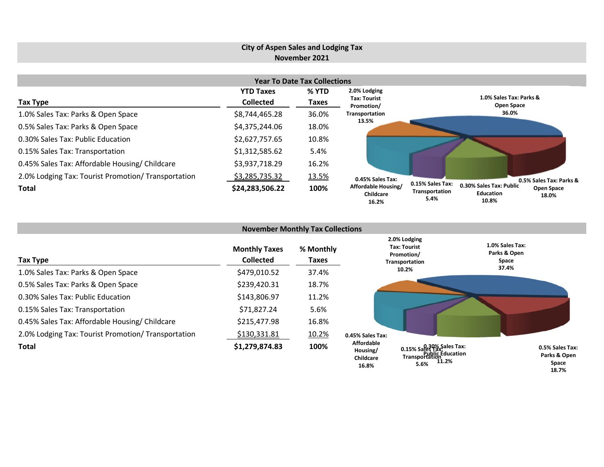# **City of Aspen Sales and Lodging Tax November 2021**

| <b>Year To Date Tax Collections</b>                 |                  |       |                                           |                                                                                                                                  |  |  |  |  |  |  |  |
|-----------------------------------------------------|------------------|-------|-------------------------------------------|----------------------------------------------------------------------------------------------------------------------------------|--|--|--|--|--|--|--|
|                                                     | <b>YTD Taxes</b> | % YTD | 2.0% Lodging<br><b>Tax: Tourist</b>       | 1.0% Sales Tax: Parks &                                                                                                          |  |  |  |  |  |  |  |
| Tax Type                                            | <b>Collected</b> | Taxes | Promotion/                                | <b>Open Space</b>                                                                                                                |  |  |  |  |  |  |  |
| 1.0% Sales Tax: Parks & Open Space                  | \$8,744,465.28   | 36.0% | Transportation                            | 36.0%                                                                                                                            |  |  |  |  |  |  |  |
| 0.5% Sales Tax: Parks & Open Space                  | \$4,375,244.06   | 18.0% | 13.5%                                     |                                                                                                                                  |  |  |  |  |  |  |  |
| 0.30% Sales Tax: Public Education                   | \$2,627,757.65   | 10.8% |                                           |                                                                                                                                  |  |  |  |  |  |  |  |
| 0.15% Sales Tax: Transportation                     | \$1,312,585.62   | 5.4%  |                                           |                                                                                                                                  |  |  |  |  |  |  |  |
| 0.45% Sales Tax: Affordable Housing/ Childcare      | \$3,937,718.29   | 16.2% |                                           |                                                                                                                                  |  |  |  |  |  |  |  |
| 2.0% Lodging Tax: Tourist Promotion/ Transportation | \$3,285,735.32   | 13.5% | 0.45% Sales Tax:                          | 0.5% Sales Tax: Parks &                                                                                                          |  |  |  |  |  |  |  |
| Total                                               | \$24,283,506.22  | 100%  | Affordable Housing/<br>Childcare<br>16.2% | 0.15% Sales Tax:<br>0.30% Sales Tax: Public<br><b>Open Space</b><br>Transportation<br><b>Education</b><br>18.0%<br>5.4%<br>10.8% |  |  |  |  |  |  |  |

| <b>November Monthly Tax Collections</b>             |                                          |                    |                                                   |                                                                         |                                          |  |  |  |  |  |  |
|-----------------------------------------------------|------------------------------------------|--------------------|---------------------------------------------------|-------------------------------------------------------------------------|------------------------------------------|--|--|--|--|--|--|
| Tax Type                                            | <b>Monthly Taxes</b><br><b>Collected</b> | % Monthly<br>Taxes |                                                   | 2.0% Lodging<br><b>Tax: Tourist</b><br>Promotion/<br>Transportation     | 1.0% Sales Tax:<br>Parks & Open<br>Space |  |  |  |  |  |  |
| 1.0% Sales Tax: Parks & Open Space                  | \$479,010.52                             | 37.4%              |                                                   | 10.2%                                                                   | 37.4%                                    |  |  |  |  |  |  |
| 0.5% Sales Tax: Parks & Open Space                  | \$239,420.31                             | 18.7%              |                                                   |                                                                         |                                          |  |  |  |  |  |  |
| 0.30% Sales Tax: Public Education                   | \$143,806.97                             | 11.2%              |                                                   |                                                                         |                                          |  |  |  |  |  |  |
| 0.15% Sales Tax: Transportation                     | \$71,827.24                              | 5.6%               |                                                   |                                                                         |                                          |  |  |  |  |  |  |
| 0.45% Sales Tax: Affordable Housing/ Childcare      | \$215,477.98                             | 16.8%              |                                                   |                                                                         |                                          |  |  |  |  |  |  |
| 2.0% Lodging Tax: Tourist Promotion/ Transportation | \$130,331.81                             | 10.2%              | 0.45% Sales Tax:                                  |                                                                         |                                          |  |  |  |  |  |  |
| <b>Total</b>                                        | \$1,279,874.83                           | 100%               | <b>Affordable</b><br>Housing/<br><b>Childcare</b> | 0.15% Sales Tax:<br>0.15% Sales Tax:<br>Transportation<br>11.2%<br>ECO/ | 0.5% Sales Tax:<br>Parks & Open<br>Space |  |  |  |  |  |  |

**5.6%**

**16.8%**

**Space 18.7%**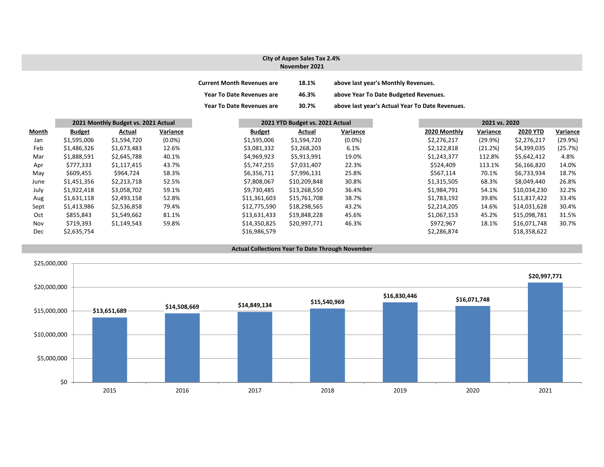#### **City of Aspen Sales Tax 2.4% November 2021**

| <b>Current Month Revenues are</b> | 18.1% | above last year's Monthly Revenues.             |
|-----------------------------------|-------|-------------------------------------------------|
| <b>Year To Date Revenues are</b>  | 46.3% | above Year To Date Budgeted Revenues.           |
| <b>Year To Date Revenues are</b>  | 30.7% | above last year's Actual Year To Date Revenues. |

|       | 2021 Monthly Budget vs. 2021 Actual |             |           | 2021 YTD Budget vs. 2021 Actual |              |           |  | 2021 vs. 2020 |          |                 |          |
|-------|-------------------------------------|-------------|-----------|---------------------------------|--------------|-----------|--|---------------|----------|-----------------|----------|
| Month | <b>Budget</b>                       | Actual      | Variance  | <b>Budget</b>                   | Actual       | Variance  |  | 2020 Monthly  | Variance | <b>2020 YTD</b> | Variance |
| Jan   | \$1,595,006                         | \$1,594,720 | $(0.0\%)$ | \$1,595,006                     | \$1,594,720  | $(0.0\%)$ |  | \$2,276,217   | (29.9%)  | \$2,276,217     | (29.9%)  |
| Feb   | \$1,486,326                         | \$1,673,483 | 12.6%     | \$3,081,332                     | \$3,268,203  | 6.1%      |  | \$2,122,818   | (21.2%)  | \$4,399,035     | (25.7%)  |
| Mar   | \$1,888,591                         | \$2,645,788 | 40.1%     | \$4,969,923                     | \$5,913,991  | 19.0%     |  | \$1,243,377   | 112.8%   | \$5,642,412     | 4.8%     |
| Apr   | \$777,333                           | \$1,117,415 | 43.7%     | \$5.747.255                     | \$7,031,407  | 22.3%     |  | \$524,409     | 113.1%   | \$6,166,820     | 14.0%    |
| May   | \$609,455                           | \$964,724   | 58.3%     | \$6,356,711                     | \$7,996,131  | 25.8%     |  | \$567.114     | 70.1%    | \$6,733,934     | 18.7%    |
| June  | \$1,451,356                         | \$2,213,718 | 52.5%     | \$7,808,067                     | \$10,209,848 | 30.8%     |  | \$1,315,505   | 68.3%    | \$8,049,440     | 26.8%    |
| July  | \$1,922,418                         | \$3,058,702 | 59.1%     | \$9.730.485                     | \$13,268,550 | 36.4%     |  | \$1,984,791   | 54.1%    | \$10,034,230    | 32.2%    |
| Aug   | \$1,631,118                         | \$2,493,158 | 52.8%     | \$11,361,603                    | \$15,761,708 | 38.7%     |  | \$1,783,192   | 39.8%    | \$11,817,422    | 33.4%    |
| Sept  | \$1,413,986                         | \$2,536,858 | 79.4%     | \$12,775,590                    | \$18,298,565 | 43.2%     |  | \$2,214,205   | 14.6%    | \$14,031,628    | 30.4%    |
| Oct   | \$855,843                           | \$1,549,662 | 81.1%     | \$13,631,433                    | \$19,848,228 | 45.6%     |  | \$1,067,153   | 45.2%    | \$15,098,781    | 31.5%    |
| Nov   | \$719,393                           | \$1,149,543 | 59.8%     | \$14,350,825                    | \$20,997,771 | 46.3%     |  | \$972,967     | 18.1%    | \$16,071,748    | 30.7%    |
| Dec   | \$2,635,754                         |             |           | \$16,986,579                    |              |           |  | \$2,286,874   |          | \$18,358,622    |          |



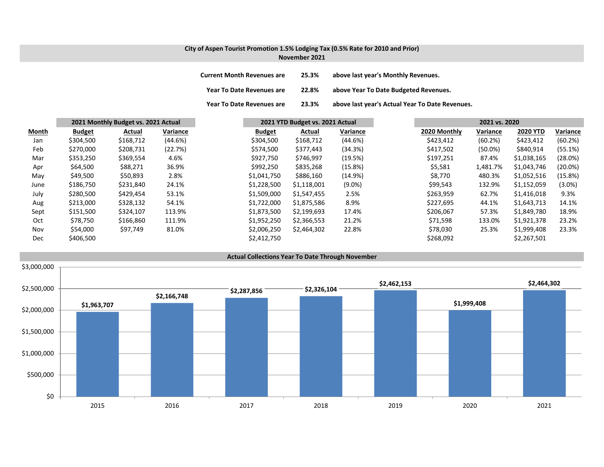### **City of Aspen Tourist Promotion 1.5% Lodging Tax (0.5% Rate for 2010 and Prior) November 2021**

| <b>Current Month Revenues are</b> | 25.3% | above last year's Monthly Revenues.             |
|-----------------------------------|-------|-------------------------------------------------|
| <b>Year To Date Revenues are</b>  | 22.8% | above Year To Date Budgeted Revenues.           |
| Year To Date Revenues are         | 23.3% | above last year's Actual Year To Date Revenues. |

|              | 2021 Monthly Budget vs. 2021 Actual |           |          | 2021 YTD Budget vs. 2021 Actual |             |            | 2021 vs. 2020 |              |            |                 |            |  |  |
|--------------|-------------------------------------|-----------|----------|---------------------------------|-------------|------------|---------------|--------------|------------|-----------------|------------|--|--|
| <b>Month</b> | <b>Budget</b>                       | Actual    | Variance | <b>Budget</b>                   | Actual      | Variance   |               | 2020 Monthly | Variance   | <b>2020 YTD</b> | Variance   |  |  |
| Jan          | \$304,500                           | \$168,712 | (44.6%)  | \$304,500                       | \$168,712   | (44.6%)    |               | \$423,412    | (60.2%)    | \$423,412       | (60.2%)    |  |  |
| Feb          | \$270,000                           | \$208,731 | (22.7%)  | \$574,500                       | \$377,443   | (34.3%)    |               | \$417,502    | $(50.0\%)$ | \$840,914       | (55.1%)    |  |  |
| Mar          | \$353,250                           | \$369,554 | 4.6%     | \$927,750                       | \$746,997   | (19.5%)    |               | \$197,251    | 87.4%      | \$1,038,165     | (28.0%)    |  |  |
| Apr          | \$64,500                            | \$88,271  | 36.9%    | \$992,250                       | \$835,268   | $(15.8\%)$ |               | \$5,581      | 1,481.7%   | \$1,043,746     | $(20.0\%)$ |  |  |
| May          | \$49,500                            | \$50,893  | 2.8%     | \$1,041,750                     | \$886,160   | (14.9%)    |               | \$8,770      | 480.3%     | \$1,052,516     | (15.8%)    |  |  |
| June         | \$186,750                           | \$231,840 | 24.1%    | \$1,228,500                     | \$1,118,001 | $(9.0\%)$  |               | \$99,543     | 132.9%     | \$1,152,059     | $(3.0\%)$  |  |  |
| July         | \$280,500                           | \$429,454 | 53.1%    | \$1,509,000                     | \$1,547,455 | 2.5%       |               | \$263,959    | 62.7%      | \$1,416,018     | 9.3%       |  |  |
| Aug          | \$213,000                           | \$328,132 | 54.1%    | \$1,722,000                     | \$1,875,586 | 8.9%       |               | \$227,695    | 44.1%      | \$1,643,713     | 14.1%      |  |  |
| Sept         | \$151,500                           | \$324,107 | 113.9%   | \$1,873,500                     | \$2,199,693 | 17.4%      |               | \$206,067    | 57.3%      | \$1,849,780     | 18.9%      |  |  |
| Oct          | \$78,750                            | \$166,860 | 111.9%   | \$1,952,250                     | \$2,366,553 | 21.2%      |               | \$71,598     | 133.0%     | \$1,921,378     | 23.2%      |  |  |
| Nov          | \$54,000                            | \$97,749  | 81.0%    | \$2,006,250                     | \$2,464,302 | 22.8%      |               | \$78,030     | 25.3%      | \$1,999,408     | 23.3%      |  |  |
| Dec          | \$406,500                           |           |          | \$2,412,750                     |             |            |               | \$268,092    |            | \$2,267,501     |            |  |  |

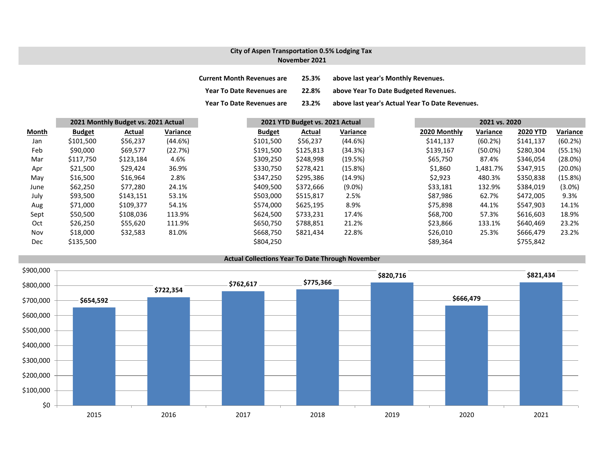### **City of Aspen Transportation 0.5% Lodging Tax November 2021**

| <b>Current Month Revenues are</b> | 25.3% | above last year's Monthly Revenues.             |
|-----------------------------------|-------|-------------------------------------------------|
| <b>Year To Date Revenues are</b>  | 22.8% | above Year To Date Budgeted Revenues.           |
| <b>Year To Date Revenues are</b>  | 23.2% | above last year's Actual Year To Date Revenues. |

|       |               | 2021 Monthly Budget vs. 2021 Actual |                 |               | 2021 YTD Budget vs. 2021 Actual |           |  |              | 2021 vs. 2020 |                 |            |  |  |
|-------|---------------|-------------------------------------|-----------------|---------------|---------------------------------|-----------|--|--------------|---------------|-----------------|------------|--|--|
| Month | <b>Budget</b> | Actual                              | <b>Variance</b> | <b>Budget</b> | Actual                          | Variance  |  | 2020 Monthly | Variance      | <b>2020 YTD</b> | Variance   |  |  |
| Jan   | \$101,500     | \$56,237                            | (44.6%)         | \$101,500     | \$56,237                        | (44.6%)   |  | \$141,137    | (60.2%)       | \$141,137       | (60.2%)    |  |  |
| Feb   | \$90,000      | \$69,577                            | (22.7%)         | \$191,500     | \$125,813                       | (34.3%)   |  | \$139,167    | $(50.0\%)$    | \$280,304       | (55.1%)    |  |  |
| Mar   | \$117,750     | \$123,184                           | 4.6%            | \$309,250     | \$248,998                       | (19.5%)   |  | \$65,750     | 87.4%         | \$346,054       | (28.0%)    |  |  |
| Apr   | \$21,500      | \$29,424                            | 36.9%           | \$330,750     | \$278,421                       | (15.8%)   |  | \$1,860      | 1,481.7%      | \$347,915       | $(20.0\%)$ |  |  |
| May   | \$16,500      | \$16,964                            | 2.8%            | \$347,250     | \$295,386                       | (14.9%)   |  | \$2,923      | 480.3%        | \$350,838       | (15.8%)    |  |  |
| June  | \$62,250      | \$77,280                            | 24.1%           | \$409,500     | \$372,666                       | $(9.0\%)$ |  | \$33,181     | 132.9%        | \$384,019       | $(3.0\%)$  |  |  |
| July  | \$93,500      | \$143,151                           | 53.1%           | \$503,000     | \$515,817                       | 2.5%      |  | \$87,986     | 62.7%         | \$472,005       | 9.3%       |  |  |
| Aug   | \$71,000      | \$109,377                           | 54.1%           | \$574,000     | \$625,195                       | 8.9%      |  | \$75,898     | 44.1%         | \$547,903       | 14.1%      |  |  |
| Sept  | \$50,500      | \$108,036                           | 113.9%          | \$624,500     | \$733,231                       | 17.4%     |  | \$68,700     | 57.3%         | \$616,603       | 18.9%      |  |  |
| Oct   | \$26,250      | \$55,620                            | 111.9%          | \$650,750     | \$788,851                       | 21.2%     |  | \$23,866     | 133.1%        | \$640,469       | 23.2%      |  |  |
| Nov   | \$18,000      | \$32,583                            | 81.0%           | \$668,750     | \$821,434                       | 22.8%     |  | \$26,010     | 25.3%         | \$666,479       | 23.2%      |  |  |
| Dec   | \$135,500     |                                     |                 | \$804,250     |                                 |           |  | \$89,364     |               | \$755,842       |            |  |  |

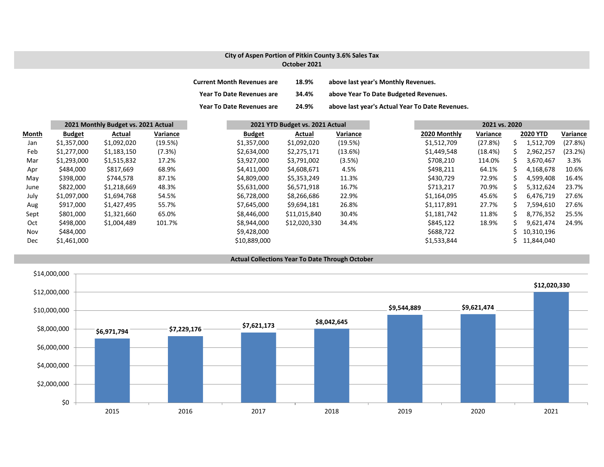## **City of Aspen Portion of Pitkin County 3.6% Sales Tax October 2021**

| <b>Current Month Revenues are</b> | 18.9% | above last year's Monthly Revenues.             |
|-----------------------------------|-------|-------------------------------------------------|
| <b>Year To Date Revenues are</b>  | 34.4% | above Year To Date Budgeted Revenues.           |
| <b>Year To Date Revenues are</b>  | 24.9% | above last year's Actual Year To Date Revenues. |

|              | 2021 Monthly Budget vs. 2021 Actual |             | 2021 YTD Budget vs. 2021 Actual |               | 2021 vs. 2020 |          |              |          |    |                 |          |
|--------------|-------------------------------------|-------------|---------------------------------|---------------|---------------|----------|--------------|----------|----|-----------------|----------|
| <b>Month</b> | <b>Budget</b>                       | Actual      | Variance                        | <b>Budget</b> | Actual        | Variance | 2020 Monthly | Variance |    | <b>2020 YTD</b> | Variance |
| Jan          | \$1,357,000                         | \$1,092,020 | (19.5%)                         | \$1,357,000   | \$1,092,020   | (19.5%)  | \$1,512,709  | (27.8%)  | s  | 1,512,709       | (27.8%)  |
| Feb          | \$1,277,000                         | \$1,183,150 | (7.3%)                          | \$2,634,000   | \$2,275,171   | (13.6%)  | \$1,449,548  | (18.4%)  | S  | 2,962,257       | (23.2%)  |
| Mar          | \$1,293,000                         | \$1,515,832 | 17.2%                           | \$3,927,000   | \$3,791,002   | (3.5%)   | \$708,210    | 114.0%   | S  | 3,670,467       | 3.3%     |
| Apr          | \$484,000                           | \$817,669   | 68.9%                           | \$4,411,000   | \$4,608,671   | 4.5%     | \$498,211    | 64.1%    |    | 4,168,678       | 10.6%    |
| May          | \$398,000                           | \$744,578   | 87.1%                           | \$4,809,000   | \$5,353,249   | 11.3%    | \$430,729    | 72.9%    | ╰  | 4,599,408       | 16.4%    |
| June         | \$822,000                           | \$1,218,669 | 48.3%                           | \$5,631,000   | \$6,571,918   | 16.7%    | \$713,217    | 70.9%    |    | 5,312,624       | 23.7%    |
| July         | \$1,097,000                         | \$1,694,768 | 54.5%                           | \$6,728,000   | \$8,266,686   | 22.9%    | \$1,164,095  | 45.6%    | S. | 6,476,719       | 27.6%    |
| Aug          | \$917,000                           | \$1,427,495 | 55.7%                           | \$7,645,000   | \$9,694,181   | 26.8%    | \$1,117,891  | 27.7%    | S. | 7,594,610       | 27.6%    |
| Sept         | \$801,000                           | \$1,321,660 | 65.0%                           | \$8,446,000   | \$11,015,840  | 30.4%    | \$1,181,742  | 11.8%    | ς  | 8,776,352       | 25.5%    |
| Oct          | \$498,000                           | \$1,004,489 | 101.7%                          | \$8,944,000   | \$12,020,330  | 34.4%    | \$845,122    | 18.9%    |    | 9,621,474       | 24.9%    |
| Nov          | \$484,000                           |             |                                 | \$9,428,000   |               |          | \$688,722    |          |    | 10,310,196      |          |
| <b>Dec</b>   | \$1,461,000                         |             |                                 | \$10,889,000  |               |          | \$1,533,844  |          |    | 11,844,040      |          |



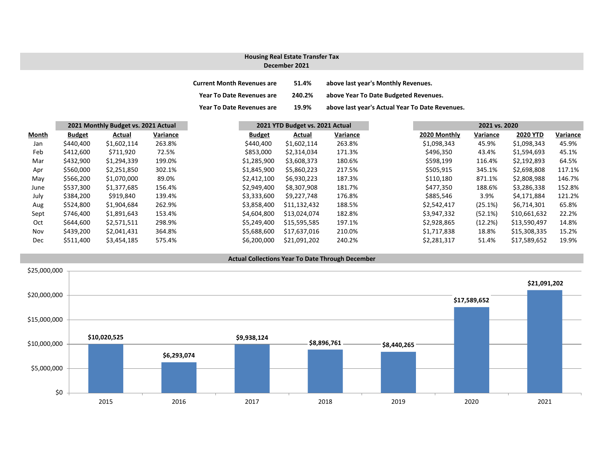#### **December 2021 Housing Real Estate Transfer Tax**

| <b>Current Month Revenues are</b> | 51.4%  | above last year's Monthly Revenues.             |
|-----------------------------------|--------|-------------------------------------------------|
| <b>Year To Date Revenues are</b>  | 240.2% | above Year To Date Budgeted Revenues.           |
| <b>Year To Date Revenues are</b>  | 19.9%  | above last year's Actual Year To Date Revenues. |

|            | 2021 Monthly Budget vs. 2021 Actual |             |          | 2021 YTD Budget vs. 2021 Actual |              |          | 2021 vs. 2020 |              |          |                 |          |
|------------|-------------------------------------|-------------|----------|---------------------------------|--------------|----------|---------------|--------------|----------|-----------------|----------|
| Month      | <b>Budget</b>                       | Actual      | Variance | <b>Budget</b>                   | Actual       | Variance |               | 2020 Monthly | Variance | <b>2020 YTD</b> | Variance |
| Jan        | \$440,400                           | \$1,602,114 | 263.8%   | \$440,400                       | \$1,602,114  | 263.8%   |               | \$1,098,343  | 45.9%    | \$1,098,343     | 45.9%    |
| Feb        | \$412,600                           | \$711,920   | 72.5%    | \$853,000                       | \$2,314,034  | 171.3%   |               | \$496,350    | 43.4%    | \$1,594,693     | 45.1%    |
| Mar        | \$432,900                           | \$1,294,339 | 199.0%   | \$1,285,900                     | \$3,608,373  | 180.6%   |               | \$598,199    | 116.4%   | \$2,192,893     | 64.5%    |
| Apr        | \$560,000                           | \$2,251,850 | 302.1%   | \$1,845,900                     | \$5,860,223  | 217.5%   |               | \$505,915    | 345.1%   | \$2,698,808     | 117.1%   |
| May        | \$566,200                           | \$1,070,000 | 89.0%    | \$2,412,100                     | \$6,930,223  | 187.3%   |               | \$110,180    | 871.1%   | \$2,808,988     | 146.7%   |
| June       | \$537,300                           | \$1,377,685 | 156.4%   | \$2,949,400                     | \$8,307,908  | 181.7%   |               | \$477,350    | 188.6%   | \$3,286,338     | 152.8%   |
| July       | \$384,200                           | \$919,840   | 139.4%   | \$3,333,600                     | \$9.227.748  | 176.8%   |               | \$885,546    | 3.9%     | \$4,171,884     | 121.2%   |
| Aug        | \$524,800                           | \$1,904,684 | 262.9%   | \$3,858,400                     | \$11,132,432 | 188.5%   |               | \$2,542,417  | (25.1%)  | \$6,714,301     | 65.8%    |
| Sept       | \$746,400                           | \$1,891,643 | 153.4%   | \$4,604,800                     | \$13.024.074 | 182.8%   |               | \$3,947,332  | (52.1%)  | \$10,661,632    | 22.2%    |
| Oct        | \$644,600                           | \$2,571,511 | 298.9%   | \$5,249,400                     | \$15,595,585 | 197.1%   |               | \$2,928,865  | (12.2%)  | \$13,590,497    | 14.8%    |
| Nov        | \$439,200                           | \$2,041,431 | 364.8%   | \$5,688,600                     | \$17,637,016 | 210.0%   |               | \$1,717,838  | 18.8%    | \$15,308,335    | 15.2%    |
| <b>Dec</b> | \$511,400                           | \$3,454,185 | 575.4%   | \$6,200,000                     | \$21,091,202 | 240.2%   |               | \$2,281,317  | 51.4%    | \$17,589,652    | 19.9%    |